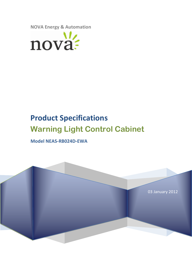

# **Product Specifications Warning Light Control Cabinet**

**Model NEAS-RB024D-EWA**

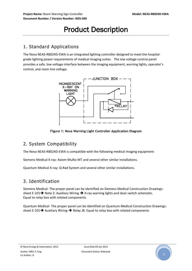## Product Description

### 1. Standard Applications

The Nova NEAS-RB024D-EWA is an integrated lighting controller designed to meet the hospitalgrade lighting power requirements of medical imaging suites. The low voltage control panel provides a safe, low voltage interface between the imaging equipment, warning lights, operator's control, and room line voltage.



**Figure 1: Nova Warning Light Controller Application Diagram**

### 2. System Compatibility

The Nova NEAS-RB024D-EWA is compatible with the following medical imaging equipment:

Siemens Medical X-ray: Axiom Multix MT and several other similar installations.

Quantum Medical X-ray: Q-Rad System and several other similar installations.

### 3. Identification

Siemens Medical- The proper panel can be identified on Siemens Medical Construction Drawings: sheet E-101 $\rightarrow$  Note 2: Auxiliary Wiring  $\rightarrow$  X-ray warning lights and door switch schematic. Equal to relay box with related components

Quantum Medical- The proper panel can be identified on Quantum Medical Construction Drawings: sheet E-101 $\rightarrow$  Auxiliary Wiring  $\rightarrow$  Relay JB. Equal to relay box with related components

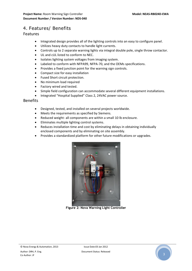### 4. Features/ Benefits

#### Features

- Integrated design provides all of the lighting controls into an easy to configure panel.
- Utilizes heavy duty contacts to handle light currents.
- Controls up to 2 separate warning lights via integral double pole, single throw contactor.
- UL and cUL listed to conform to NEC.
- Isolates lighting system voltages from imaging system.
- Labeled to conform with NFPA99, NFPA-70, and the OEMs specifications.
- Provides a fixed junction point for the warning sign controls.
- Compact size for easy installation
- Fused Short circuit protection.
- No minimum load required
- Factory wired and tested.
- Simple field configuration can accommodate several different equipment installations.
- Integrated "Hospital Supplied" Class 2, 24VAC power source.

#### Benefits

- Designed, tested, and installed on several projects worldwide.
- Meets the requirements as specified by Siemens.
- Reduced weight- all components are within a small 10 lb enclosure.
- Eliminates multiple lighting control systems.
- Reduces installation time and cost by eliminating delays in obtaining individually enclosed components and by eliminating on site assembly.
- Provides a standardized platform for other future modifications or upgrades.



**Figure 2: Nova Warning Light Controller** 

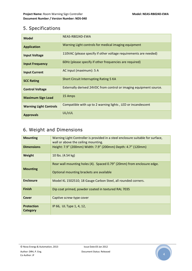### 5. Specifications

| <b>Model</b>                  | NEAS-RB024D-EWA                                                    |
|-------------------------------|--------------------------------------------------------------------|
| <b>Application</b>            | Warning Light controls for medical imaging equipment               |
| <b>Input Voltage</b>          | 110VAC (please specify if other voltage requirements are needed)   |
| <b>Input Frequency</b>        | 60Hz (please specify if other frequencies are required)            |
| <b>Input Current</b>          | AC input (maximum): 5 A                                            |
| <b>SCC Rating</b>             | Short Circuit Interrupting Rating 5 KA                             |
| <b>Control Voltage</b>        | Externally derived 24VDC from control or imaging equipment source. |
| <b>Maximum Sign Load</b>      | 15 Amps                                                            |
| <b>Warning Light Controls</b> | Compatible with up to 2 warning lights, LED or incandescent        |
| <b>Approvals</b>              | UL/cUL                                                             |

### 6. Weight and Dimensions

| <b>Mounting</b>               | Warning Light Controller is provided in a steel enclosure suitable for surface,<br>wall or above the ceiling mounting. |
|-------------------------------|------------------------------------------------------------------------------------------------------------------------|
| <b>Dimensions</b>             | Height: 7.9" (200mm) Width: 7.9" (200mm) Depth: 4.7" (120mm)                                                           |
| Weight                        | 10 lbs. (4.54 kg)                                                                                                      |
| <b>Mounting</b>               | Rear wall mounting holes (4). Spaced 0.79" (20mm) from enclosure edge.<br>Optional mounting brackets are available     |
| <b>Enclosure</b>              | Model KL 1502510; 18 Gauge Carbon Steel, all rounded corners.                                                          |
| <b>Finish</b>                 | Dip coat primed, powder coated in textured RAL 7035                                                                    |
| <b>Cover</b>                  | Captive screw-type cover                                                                                               |
| <b>Protection</b><br>Category | IP 66, UL Type 1, 4, 12,                                                                                               |

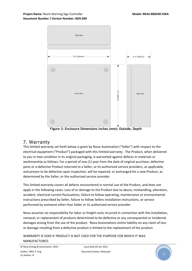#### **Project Name:** Room Warning Sign Controller **Model: NEAS-RB024D-EWA Document Number / Version Number: NDS-040**



**Figure 3: Enclosure Dimensions inches (mm): Outside, Depth**

#### 7. Warranty

This limited warranty set forth below is given by Nova Automation ("Seller") with respect to the electrical equipment ("Product") packaged with this limited warranty. The Product, when delivered to you in new condition in its original packaging, is warranted against defects in materials or workmanship as follows: For a period of one (1) year from the date of original purchase, defective parts or a defective Product returned to a Seller, or its authorized service providers, as applicable, and proven to be defective upon inspection, will be repaired, or exchanged for a new Product, as determined by the Seller, or the authorized service provider.

This limited warranty covers all defects encountered in normal use of the Product, and does not apply in the following cases: Loss of or damage to the Product due to abuse, mishandling, alteration, accident, electrical current fluctuations, failure to follow operating, maintenance or environmental instructions prescribed by Seller, failure to follow Sellers installation instructions, or service performed by someone other than Seller or its authorized service provider.

Nova assumes no responsibility for labor or freight costs incurred in connection with the installation, removal, or replacement of products determined to be defective or any consequential or incidental damages arising from the use of the product. Nova Automations entire liability on any claim of loss or damage resulting from a defective product is limited to the replacement of the product.

WARRANTY IS VOID IF PRODUCT IS NOT USED FOR THE PURPOSE FOR WHICH IT WAS MANUFACTURED.

© Nova Energy & Automation, 2013 Issue Date:03 Jan 2012 Author: DRH, P. Eng. Document Status: Released  $\blacksquare$   $\blacksquare$   $\blacksquare$   $\blacksquare$   $\blacksquare$   $\blacksquare$   $\blacksquare$   $\blacksquare$   $\blacksquare$   $\blacksquare$   $\blacksquare$   $\blacksquare$   $\blacksquare$   $\blacksquare$   $\blacksquare$   $\blacksquare$   $\blacksquare$   $\blacksquare$   $\blacksquare$   $\blacksquare$   $\blacksquare$   $\blacksquare$   $\blacksquare$   $\blacksquare$   $\blacksquare$   $\blacksquare$   $\blacksquare$   $\blacksquare$   $\blacksquare$   $\blacksquare$   $\blacksquare$   $\blacks$